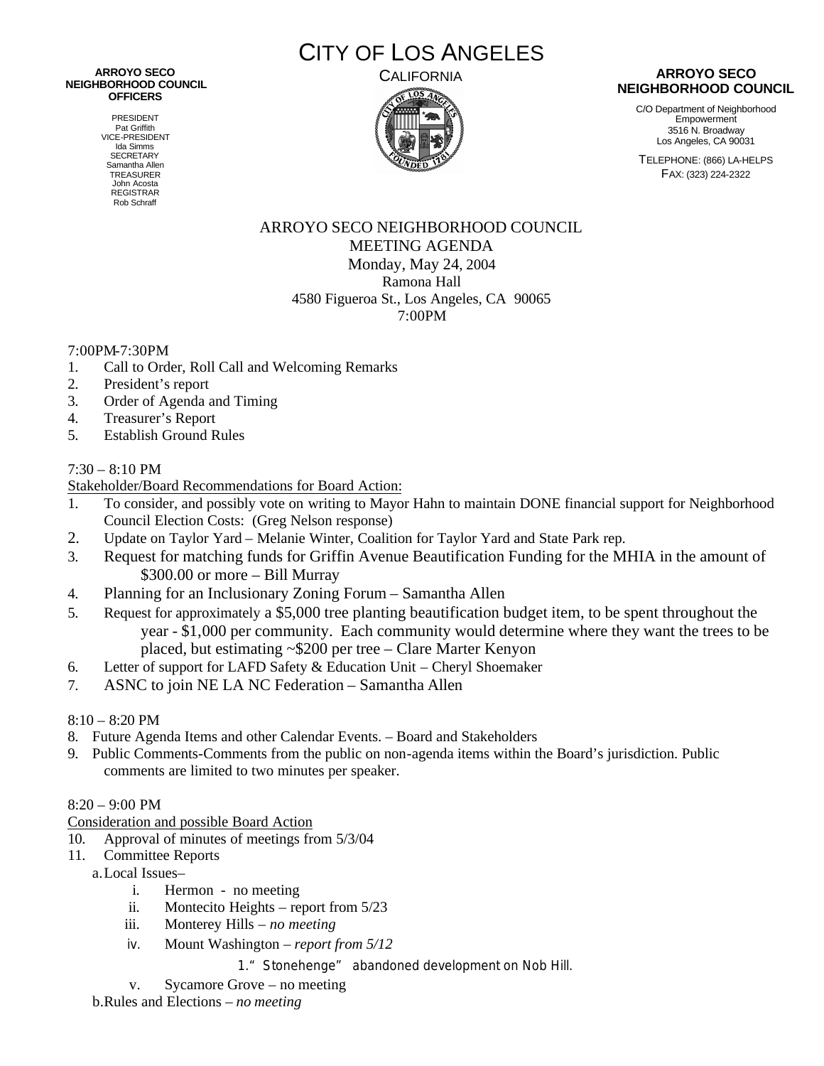#### CALIFORNIA **ARROYO SECO NEIGHBORHOOD COUNCIL OFFICERS**

PRESIDENT Pat Griffith VICE-PRESIDENT Ida Simms **SECRETARY** Samantha Allen TREASURER John Acosta REGISTRAR Rob Schraff

CITY OF LOS ANGELES



### **ARROYO SECO NEIGHBORHOOD COUNCIL**

C/O Department of Neighborhood Empowerment 3516 N. Broadway Los Angeles, CA 90031

TELEPHONE: (866) LA-HELPS FAX: (323) 224-2322

# ARROYO SECO NEIGHBORHOOD COUNCIL MEETING AGENDA Monday, May 24, 2004 Ramona Hall 4580 Figueroa St., Los Angeles, CA 90065 7:00PM

# 7:00PM-7:30PM

- 1. Call to Order, Roll Call and Welcoming Remarks
- 2. President's report
- 3. Order of Agenda and Timing
- 4. Treasurer's Report
- 5. Establish Ground Rules

## $7:30 - 8:10$  PM

Stakeholder/Board Recommendations for Board Action:

- 1. To consider, and possibly vote on writing to Mayor Hahn to maintain DONE financial support for Neighborhood Council Election Costs: (Greg Nelson response)
- 2. Update on Taylor Yard Melanie Winter, Coalition for Taylor Yard and State Park rep.
- 3. Request for matching funds for Griffin Avenue Beautification Funding for the MHIA in the amount of \$300.00 or more – Bill Murray
- 4. Planning for an Inclusionary Zoning Forum Samantha Allen
- 5. Request for approximately a \$5,000 tree planting beautification budget item, to be spent throughout the year - \$1,000 per community. Each community would determine where they want the trees to be placed, but estimating ~\$200 per tree – Clare Marter Kenyon
- 6. Letter of support for LAFD Safety & Education Unit Cheryl Shoemaker
- 7. ASNC to join NE LA NC Federation Samantha Allen

## 8:10 – 8:20 PM

- 8. Future Agenda Items and other Calendar Events. Board and Stakeholders
- 9. Public Comments-Comments from the public on non-agenda items within the Board's jurisdiction. Public comments are limited to two minutes per speaker.

### $8:20 - 9:00 \text{ PM}$

Consideration and possible Board Action

10. Approval of minutes of meetings from 5/3/04

- 11. Committee Reports
	- a.Local Issues–
		- i. Hermon no meeting
		- ii. Montecito Heights report from 5/23
		- iii. Monterey Hills *no meeting*
		- iv. Mount Washington *report from 5/12*
			- 1." Stonehenge" abandoned development on Nob Hill.
		- v. Sycamore Grove no meeting

b.Rules and Elections – *no meeting*